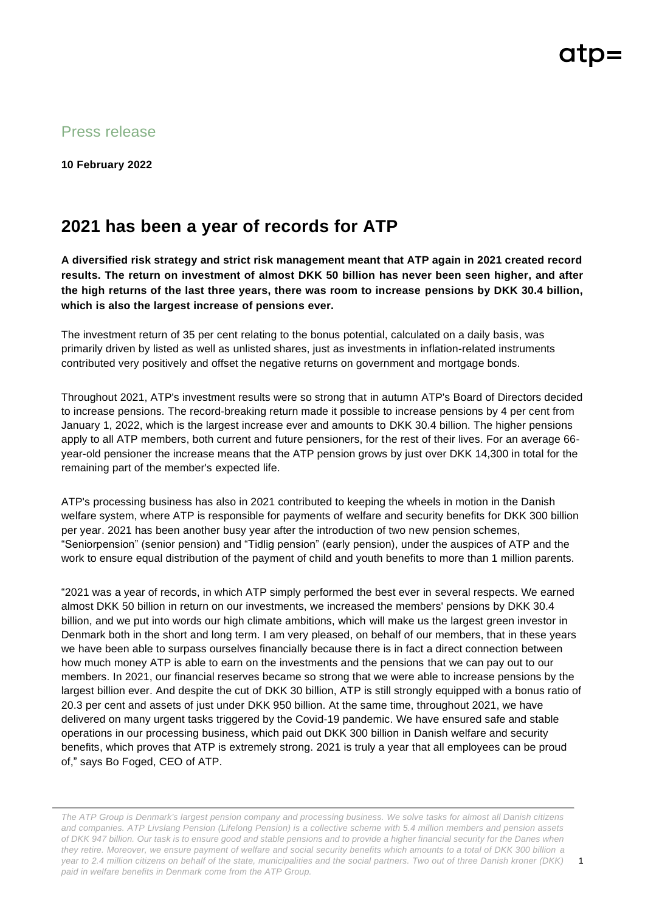Press release

**10 February 2022**

## **2021 has been a year of records for ATP**

**A diversified risk strategy and strict risk management meant that ATP again in 2021 created record results. The return on investment of almost DKK 50 billion has never been seen higher, and after the high returns of the last three years, there was room to increase pensions by DKK 30.4 billion, which is also the largest increase of pensions ever.**

The investment return of 35 per cent relating to the bonus potential, calculated on a daily basis, was primarily driven by listed as well as unlisted shares, just as investments in inflation-related instruments contributed very positively and offset the negative returns on government and mortgage bonds.

Throughout 2021, ATP's investment results were so strong that in autumn ATP's Board of Directors decided to increase pensions. The record-breaking return made it possible to increase pensions by 4 per cent from January 1, 2022, which is the largest increase ever and amounts to DKK 30.4 billion. The higher pensions apply to all ATP members, both current and future pensioners, for the rest of their lives. For an average 66 year-old pensioner the increase means that the ATP pension grows by just over DKK 14,300 in total for the remaining part of the member's expected life.

ATP's processing business has also in 2021 contributed to keeping the wheels in motion in the Danish welfare system, where ATP is responsible for payments of welfare and security benefits for DKK 300 billion per year. 2021 has been another busy year after the introduction of two new pension schemes, "Seniorpension" (senior pension) and "Tidlig pension" (early pension), under the auspices of ATP and the work to ensure equal distribution of the payment of child and youth benefits to more than 1 million parents.

"2021 was a year of records, in which ATP simply performed the best ever in several respects. We earned almost DKK 50 billion in return on our investments, we increased the members' pensions by DKK 30.4 billion, and we put into words our high climate ambitions, which will make us the largest green investor in Denmark both in the short and long term. I am very pleased, on behalf of our members, that in these years we have been able to surpass ourselves financially because there is in fact a direct connection between how much money ATP is able to earn on the investments and the pensions that we can pay out to our members. In 2021, our financial reserves became so strong that we were able to increase pensions by the largest billion ever. And despite the cut of DKK 30 billion, ATP is still strongly equipped with a bonus ratio of 20.3 per cent and assets of just under DKK 950 billion. At the same time, throughout 2021, we have delivered on many urgent tasks triggered by the Covid-19 pandemic. We have ensured safe and stable operations in our processing business, which paid out DKK 300 billion in Danish welfare and security benefits, which proves that ATP is extremely strong. 2021 is truly a year that all employees can be proud of," says Bo Foged, CEO of ATP.

*The ATP Group is Denmark's largest pension company and processing business. We solve tasks for almost all Danish citizens and companies. ATP Livslang Pension (Lifelong Pension) is a collective scheme with 5.4 million members and pension assets of DKK 947 billion. Our task is to ensure good and stable pensions and to provide a higher financial security for the Danes when they retire. Moreover, we ensure payment of welfare and social security benefits which amounts to a total of DKK 300 billion a year to 2.4 million citizens on behalf of the state, municipalities and the social partners. Two out of three Danish kroner (DKK) paid in welfare benefits in Denmark come from the ATP Group.*